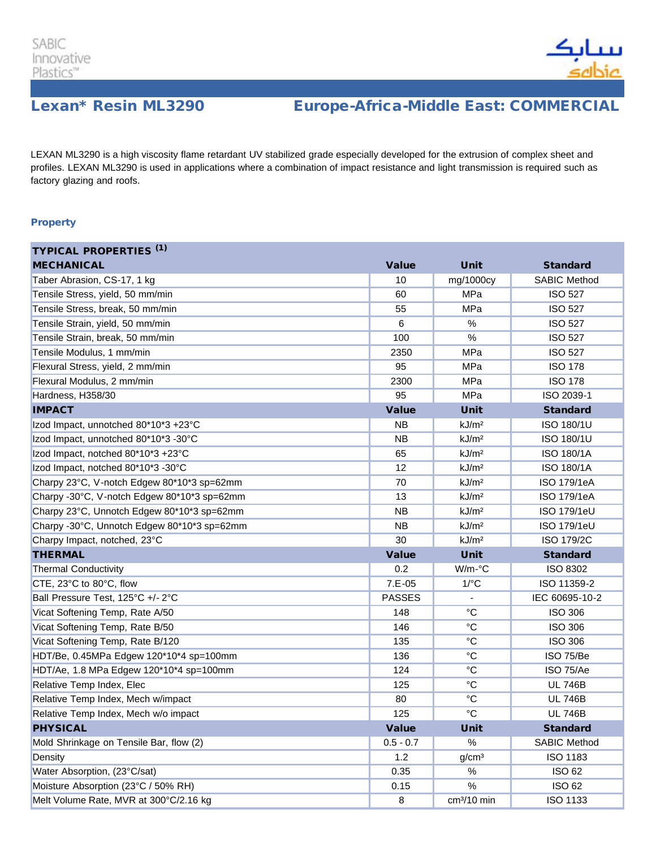

# Lexan\* Resin ML3290 Europe-Africa-Middle East: COMMERCIAL

LEXAN ML3290 is a high viscosity flame retardant UV stabilized grade especially developed for the extrusion of complex sheet and profiles. LEXAN ML3290 is used in applications where a combination of impact resistance and light transmission is required such as factory glazing and roofs.

### **Property**

| <b>TYPICAL PROPERTIES (1)</b>               |               |                         |                     |
|---------------------------------------------|---------------|-------------------------|---------------------|
| <b>MECHANICAL</b>                           | <b>Value</b>  | <b>Unit</b>             | <b>Standard</b>     |
| Taber Abrasion, CS-17, 1 kg                 | 10            | mg/1000cy               | <b>SABIC Method</b> |
| Tensile Stress, yield, 50 mm/min            | 60            | MPa                     | <b>ISO 527</b>      |
| Tensile Stress, break, 50 mm/min            | 55            | MPa                     | <b>ISO 527</b>      |
| Tensile Strain, yield, 50 mm/min            | 6             | $\%$                    | <b>ISO 527</b>      |
| Tensile Strain, break, 50 mm/min            | 100           | $\%$                    | <b>ISO 527</b>      |
| Tensile Modulus, 1 mm/min                   | 2350          | MPa                     | <b>ISO 527</b>      |
| Flexural Stress, yield, 2 mm/min            | 95            | MPa                     | <b>ISO 178</b>      |
| Flexural Modulus, 2 mm/min                  | 2300          | MPa                     | <b>ISO 178</b>      |
| Hardness, H358/30                           | 95            | MPa                     | ISO 2039-1          |
| <b>IMPACT</b>                               | <b>Value</b>  | <b>Unit</b>             | <b>Standard</b>     |
| Izod Impact, unnotched 80*10*3 +23°C        | <b>NB</b>     | kJ/m <sup>2</sup>       | ISO 180/1U          |
| Izod Impact, unnotched 80*10*3 -30°C        | <b>NB</b>     | kJ/m <sup>2</sup>       | ISO 180/1U          |
| Izod Impact, notched 80*10*3 +23°C          | 65            | kJ/m <sup>2</sup>       | <b>ISO 180/1A</b>   |
| Izod Impact, notched 80*10*3 -30°C          | 12            | kJ/m <sup>2</sup>       | <b>ISO 180/1A</b>   |
| Charpy 23°C, V-notch Edgew 80*10*3 sp=62mm  | 70            | kJ/m <sup>2</sup>       | ISO 179/1eA         |
| Charpy -30°C, V-notch Edgew 80*10*3 sp=62mm | 13            | kJ/m <sup>2</sup>       | ISO 179/1eA         |
| Charpy 23°C, Unnotch Edgew 80*10*3 sp=62mm  | <b>NB</b>     | kJ/m <sup>2</sup>       | ISO 179/1eU         |
| Charpy -30°C, Unnotch Edgew 80*10*3 sp=62mm | <b>NB</b>     | kJ/m <sup>2</sup>       | ISO 179/1eU         |
| Charpy Impact, notched, 23°C                | 30            | kJ/m <sup>2</sup>       | <b>ISO 179/2C</b>   |
| <b>THERMAL</b>                              | <b>Value</b>  | <b>Unit</b>             | <b>Standard</b>     |
| <b>Thermal Conductivity</b>                 | 0.2           | $W/m$ - $\degree$ C     | ISO 8302            |
| CTE, 23°C to 80°C, flow                     | $7.E-05$      | $1$ / $\degree$ C       | ISO 11359-2         |
| Ball Pressure Test, 125°C +/- 2°C           | <b>PASSES</b> |                         | IEC 60695-10-2      |
| Vicat Softening Temp, Rate A/50             | 148           | $^{\circ}C$             | <b>ISO 306</b>      |
| Vicat Softening Temp, Rate B/50             | 146           | $^{\circ}C$             | <b>ISO 306</b>      |
| Vicat Softening Temp, Rate B/120            | 135           | $\rm ^{\circ}C$         | <b>ISO 306</b>      |
| HDT/Be, 0.45MPa Edgew 120*10*4 sp=100mm     | 136           | $^{\circ}C$             | ISO 75/Be           |
| HDT/Ae, 1.8 MPa Edgew 120*10*4 sp=100mm     | 124           | $^{\circ}C$             | ISO 75/Ae           |
| Relative Temp Index, Elec                   | 125           | $^{\circ}C$             | <b>UL 746B</b>      |
| Relative Temp Index, Mech w/impact          | 80            | $^{\circ}C$             | <b>UL 746B</b>      |
| Relative Temp Index, Mech w/o impact        | 125           | $^{\circ}C$             | <b>UL 746B</b>      |
| <b>PHYSICAL</b>                             | <b>Value</b>  | <b>Unit</b>             | <b>Standard</b>     |
| Mold Shrinkage on Tensile Bar, flow (2)     | $0.5 - 0.7$   | $\%$                    | <b>SABIC Method</b> |
| Density                                     | 1.2           | g/cm <sup>3</sup>       | <b>ISO 1183</b>     |
| Water Absorption, (23°C/sat)                | 0.35          | %                       | <b>ISO 62</b>       |
| Moisture Absorption (23°C / 50% RH)         | 0.15          | $\%$                    | ISO 62              |
| Melt Volume Rate, MVR at 300°C/2.16 kg      | 8             | cm <sup>3</sup> /10 min | ISO 1133            |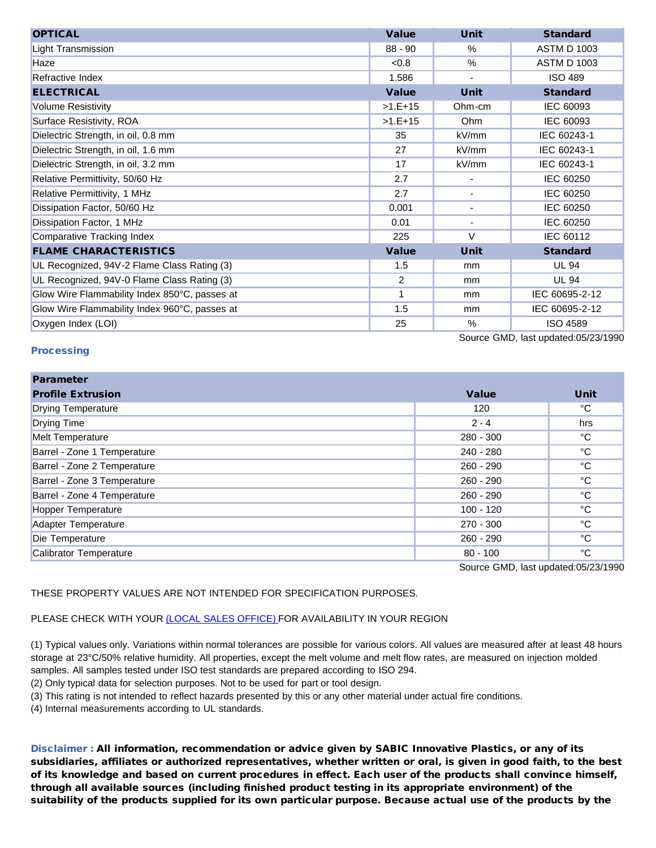| <b>OPTICAL</b>                                | <b>Value</b> | <b>Unit</b>              | <b>Standard</b>    |
|-----------------------------------------------|--------------|--------------------------|--------------------|
| <b>Light Transmission</b>                     | $88 - 90$    | $\%$                     | <b>ASTM D 1003</b> |
| Haze                                          | < 0.8        | $\frac{0}{0}$            | <b>ASTM D 1003</b> |
| Refractive Index                              | 1.586        | $\blacksquare$           | <b>ISO 489</b>     |
| <b>ELECTRICAL</b>                             | <b>Value</b> | <b>Unit</b>              | <b>Standard</b>    |
| <b>Volume Resistivity</b>                     | $>1.E+15$    | Ohm-cm                   | IEC 60093          |
| Surface Resistivity, ROA                      | $>1.E+15$    | Ohm                      | IEC 60093          |
| Dielectric Strength, in oil, 0.8 mm           | 35           | kV/mm                    | IEC 60243-1        |
| Dielectric Strength, in oil, 1.6 mm           | 27           | kV/mm                    | IEC 60243-1        |
| Dielectric Strength, in oil, 3.2 mm           | 17           | kV/mm                    | IEC 60243-1        |
| Relative Permittivity, 50/60 Hz               | 2.7          | $\blacksquare$           | IEC 60250          |
| Relative Permittivity, 1 MHz                  | 2.7          | $\overline{\phantom{a}}$ | IEC 60250          |
| Dissipation Factor, 50/60 Hz                  | 0.001        | ٠                        | IEC 60250          |
| Dissipation Factor, 1 MHz                     | 0.01         | $\overline{\phantom{a}}$ | IEC 60250          |
| <b>Comparative Tracking Index</b>             | 225          | $\vee$                   | IEC 60112          |
| <b>FLAME CHARACTERISTICS</b>                  | <b>Value</b> | <b>Unit</b>              | <b>Standard</b>    |
| UL Recognized, 94V-2 Flame Class Rating (3)   | 1.5          | mm                       | <b>UL 94</b>       |
| UL Recognized, 94V-0 Flame Class Rating (3)   | 2            | mm                       | <b>UL 94</b>       |
| Glow Wire Flammability Index 850°C, passes at | 1            | <sub>mm</sub>            | IEC 60695-2-12     |
| Glow Wire Flammability Index 960°C, passes at | 1.5          | mm                       | IEC 60695-2-12     |
| Oxygen Index (LOI)                            | 25           | $\%$                     | <b>ISO 4589</b>    |
| Source GMD, last updated:05/23/1990           |              |                          |                    |

### **Processing**

Parameter Profile Extrusion Value Unit Drying Temperature 120 °C Drying Time 2 - 4 hrs Melt Temperature 280 - 300 °C Barrel - Zone 1 Temperature 26 Australia 1 Australia 1 Australia 200 and 240 - 280 **Particle 240 - 280** and 240 - 280 **C** Barrel - Zone 2 Temperature 260 - 290 °C Barrel - Zone 3 Temperature 260 - 290 °C Barrel - Zone 4 Temperature 260 - 290 °C Hopper Temperature **100 - 120** °C Adapter Temperature **270 - 300** °C Die Temperature 260 - 290 °C Calibrator Temperature **80 - 100** °C

Source GMD, last updated:05/23/1990

THESE PROPERTY VALUES ARE NOT INTENDED FOR SPECIFICATION PURPOSES.

## PLEASE CHECK WITH YOUR [\(LOCAL SALES OFFICE\) F](http://www.sabic-ip.com/gep/en/ContactUs/ContactUs/contact_us.html)OR AVAILABILITY IN YOUR REGION

(1) Typical values only. Variations within normal tolerances are possible for various colors. All values are measured after at least 48 hours storage at 23°C/50% relative humidity. All properties, except the melt volume and melt flow rates, are measured on injection molded samples. All samples tested under ISO test standards are prepared according to ISO 294.

(2) Only typical data for selection purposes. Not to be used for part or tool design.

(3) This rating is not intended to reflect hazards presented by this or any other material under actual fire conditions.

(4) Internal measurements according to UL standards.

Disclaimer : All information, recommendation or advice given by SABIC Innovative Plastics, or any of its subsidiaries, affiliates or authorized representatives, whether written or oral, is given in good faith, to the best of its knowledge and based on current procedures in effect. Each user of the products shall convince himself, through all available sources (including finished product testing in its appropriate environment) of the suitability of the products supplied for its own particular purpose. Because actual use of the products by the